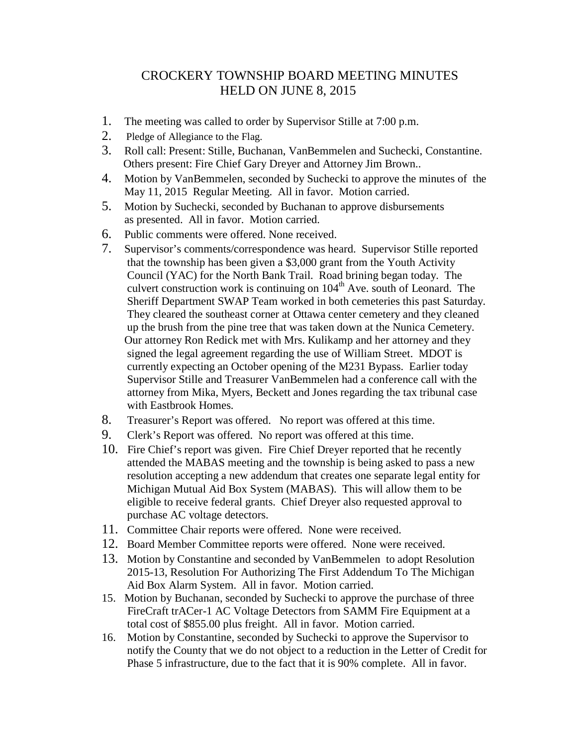## CROCKERY TOWNSHIP BOARD MEETING MINUTES HELD ON JUNE 8, 2015

- 1. The meeting was called to order by Supervisor Stille at 7:00 p.m.
- 2. Pledge of Allegiance to the Flag.
- 3. Roll call: Present: Stille, Buchanan, VanBemmelen and Suchecki, Constantine. Others present: Fire Chief Gary Dreyer and Attorney Jim Brown..
- 4. Motion by VanBemmelen, seconded by Suchecki to approve the minutes of the May 11, 2015 Regular Meeting. All in favor. Motion carried.
- 5. Motion by Suchecki, seconded by Buchanan to approve disbursements as presented. All in favor. Motion carried.
- 6. Public comments were offered. None received.
- 7. Supervisor's comments/correspondence was heard. Supervisor Stille reported that the township has been given a \$3,000 grant from the Youth Activity Council (YAC) for the North Bank Trail. Road brining began today. The culvert construction work is continuing on  $104<sup>th</sup>$  Ave. south of Leonard. The Sheriff Department SWAP Team worked in both cemeteries this past Saturday. They cleared the southeast corner at Ottawa center cemetery and they cleaned up the brush from the pine tree that was taken down at the Nunica Cemetery. Our attorney Ron Redick met with Mrs. Kulikamp and her attorney and they signed the legal agreement regarding the use of William Street. MDOT is currently expecting an October opening of the M231 Bypass. Earlier today Supervisor Stille and Treasurer VanBemmelen had a conference call with the attorney from Mika, Myers, Beckett and Jones regarding the tax tribunal case with Eastbrook Homes.
- 8. Treasurer's Report was offered. No report was offered at this time.
- 9. Clerk's Report was offered. No report was offered at this time.
- 10. Fire Chief's report was given. Fire Chief Dreyer reported that he recently attended the MABAS meeting and the township is being asked to pass a new resolution accepting a new addendum that creates one separate legal entity for Michigan Mutual Aid Box System (MABAS). This will allow them to be eligible to receive federal grants. Chief Dreyer also requested approval to purchase AC voltage detectors.
- 11. Committee Chair reports were offered. None were received.
- 12. Board Member Committee reports were offered. None were received.
- 13. Motion by Constantine and seconded by VanBemmelen to adopt Resolution 2015-13, Resolution For Authorizing The First Addendum To The Michigan Aid Box Alarm System. All in favor. Motion carried.
- 15. Motion by Buchanan, seconded by Suchecki to approve the purchase of three FireCraft trACer-1 AC Voltage Detectors from SAMM Fire Equipment at a total cost of \$855.00 plus freight. All in favor. Motion carried.
- 16. Motion by Constantine, seconded by Suchecki to approve the Supervisor to notify the County that we do not object to a reduction in the Letter of Credit for Phase 5 infrastructure, due to the fact that it is 90% complete. All in favor.